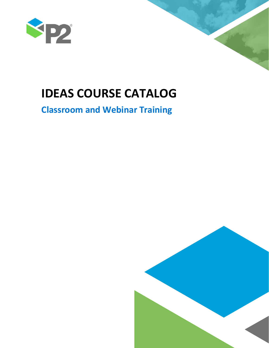

# **IDEAS COURSE CATALOG**

# **Classroom and Webinar Training**

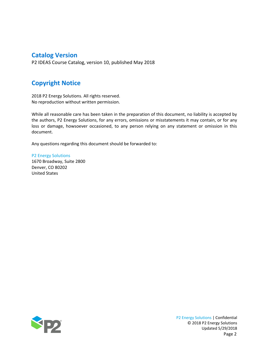# **Catalog Version**

P2 IDEAS Course Catalog, version 10, published May 2018

# **Copyright Notice**

2018 P2 Energy Solutions. All rights reserved. No reproduction without written permission.

While all reasonable care has been taken in the preparation of this document, no liability is accepted by the authors, P2 Energy Solutions, for any errors, omissions or misstatements it may contain, or for any loss or damage, howsoever occasioned, to any person relying on any statement or omission in this document.

Any questions regarding this document should be forwarded to:

P2 Energy Solutions 1670 Broadway, Suite 2800 Denver, CO 80202 United States

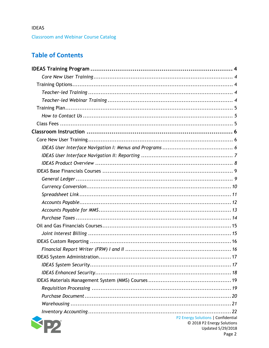# **Table of Contents**

| P2 Energy Solutions   Confidential              |
|-------------------------------------------------|
| © 2018 P2 Energy Solutions<br>Updated 5/29/2018 |



Page 2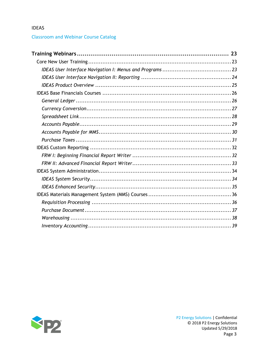# **Classroom and Webinar Course Catalog**

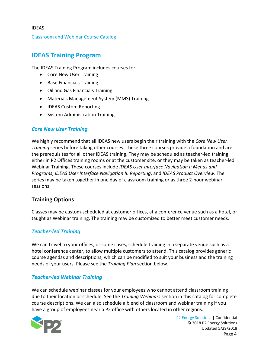Classroom and Webinar Course Catalog

# <span id="page-4-0"></span>**IDEAS Training Program**

The IDEAS Training Program includes courses for:

- Core New User Training
- Base Financials Training
- Oil and Gas Financials Training
- Materials Management System (MMS) Training
- IDEAS Custom Reporting
- System Administration Training

### <span id="page-4-1"></span>*Core New User Training*

We highly recommend that all IDEAS new users begin their training with the *Core New User Training* series before taking other courses. These three courses provide a foundation and are the prerequisites for all other IDEAS training. They may be scheduled as teacher-led training either in P2 Offices training rooms or at the customer site, or they may be taken as teacher-led Webinar Training. These courses include *IDEAS User Interface Navigation I: Menus and Programs*, *IDEAS User Interface Navigation II: Reporting*, and *IDEAS Product Overview*. The series may be taken together in one day of classroom training or as three 2-hour webinar sessions.

# <span id="page-4-2"></span>**Training Options**

Classes may be custom-scheduled at customer offices, at a conference venue such as a hotel, or taught as Webinar training. The training may be customized to better meet customer needs.

### <span id="page-4-3"></span>*Teacher-led Training*

We can travel to your offices, or some cases, schedule training in a separate venue such as a hotel conference center, to allow multiple customers to attend. This catalog provides generic course agendas and descriptions, which can be modified to suit your business and the training needs of your users. Please see the *Training Plan* section below.

### <span id="page-4-4"></span>*Teacher-led Webinar Training*

We can schedule webinar classes for your employees who cannot attend classroom training due to their location or schedule. See the *Training Webinars* section in this catalog for complete course descriptions. We can also schedule a blend of classroom and webinar training if you have a group of employees near a P2 office with others located in other regions.

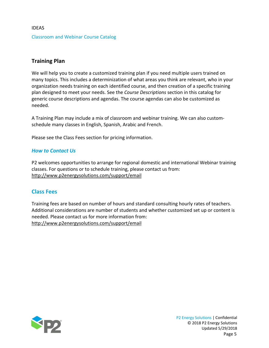# <span id="page-5-0"></span>**Training Plan**

We will help you to create a customized training plan if you need multiple users trained on many topics. This includes a determinization of what areas you think are relevant, who in your organization needs training on each identified course, and then creation of a specific training plan designed to meet your needs. See the *Course Descriptions* section in this catalog for generic course descriptions and agendas. The course agendas can also be customized as needed.

A Training Plan may include a mix of classroom and webinar training. We can also customschedule many classes in English, Spanish, Arabic and French.

Please see the Class Fees section for pricing information.

# <span id="page-5-1"></span>*How to Contact Us*

P2 welcomes opportunities to arrange for regional domestic and international Webinar training classes. For questions or to schedule training, please contact us from: <http://www.p2energysolutions.com/support/email>

# <span id="page-5-2"></span>**Class Fees**

Training fees are based on number of hours and standard consulting hourly rates of teachers. Additional considerations are number of students and whether customized set up or content is needed. Please contact us for more information from: <http://www.p2energysolutions.com/support/email>



P2 Energy Solutions | Confidential © 2018 P2 Energy Solutions Updated 5/29/2018 Page 5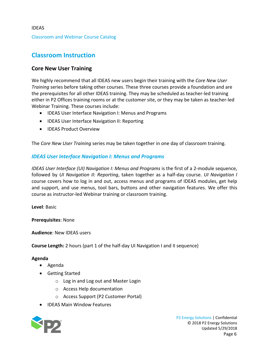Classroom and Webinar Course Catalog

# <span id="page-6-0"></span>**Classroom Instruction**

# <span id="page-6-1"></span>**Core New User Training**

We highly recommend that all IDEAS new users begin their training with the *Core New User Training* series before taking other courses. These three courses provide a foundation and are the prerequisites for all other IDEAS training. They may be scheduled as teacher-led training either in P2 Offices training rooms or at the customer site, or they may be taken as teacher-led Webinar Training. These courses include:

- IDEAS User Interface Navigation I: Menus and Programs
- IDEAS User Interface Navigation II: Reporting
- IDEAS Product Overview

The *Core New User Training* series may be taken together in one day of classroom training.

# <span id="page-6-2"></span>*IDEAS User Interface Navigation I: Menus and Programs*

*IDEAS User Interface (UI) Navigation I: Menus and Programs* is the first of a 2-module sequence, followed by *UI Navigation II: Reporting*, taken together as a half-day course. *UI Navigation I* course covers how to log in and out, access menus and programs of IDEAS modules, get help and support, and use menus, tool bars, buttons and other navigation features. We offer this course as instructor-led Webinar training or classroom training.

**Level**: Basic

**Prerequisites**: None

**Audience**: New IDEAS users

**Course Length:** 2 hours (part 1 of the half-day UI Navigation I and II sequence)

- Agenda
- Getting Started
	- o Log in and Log out and Master Login
	- o Access Help documentation
	- o Access Support (P2 Customer Portal)
- IDEAS Main Window Features

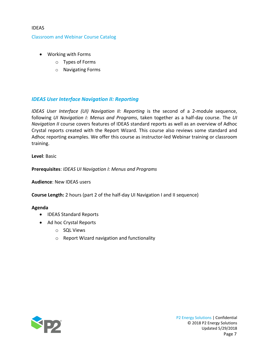#### Classroom and Webinar Course Catalog

- Working with Forms
	- o Types of Forms
	- o Navigating Forms

# <span id="page-7-0"></span>*IDEAS User Interface Navigation II: Reporting*

*IDEAS User Interface (UI) Navigation II: Reporting* is the second of a 2-module sequence, following *UI Navigation I: Menus and Programs*, taken together as a half-day course. The *UI Navigation II* course covers features of IDEAS standard reports as well as an overview of Adhoc Crystal reports created with the Report Wizard. This course also reviews some standard and Adhoc reporting examples. We offer this course as instructor-led Webinar training or classroom training.

**Level**: Basic

**Prerequisites**: *IDEAS UI Navigation I: Menus and Programs*

**Audience**: New IDEAS users

**Course Length:** 2 hours (part 2 of the half-day UI Navigation I and II sequence)

- IDEAS Standard Reports
- Ad hoc Crystal Reports
	- o SQL Views
	- o Report Wizard navigation and functionality

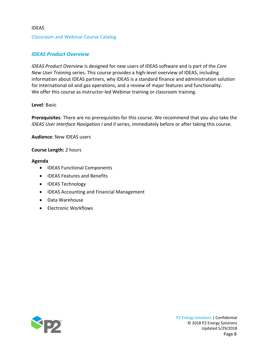# <span id="page-8-0"></span>*IDEAS Product Overview*

*IDEAS Product Overview* is designed for new users of IDEAS software and is part of the *Core New User Training* series. This course provides a high-level overview of IDEAS, including information about IDEAS partners, why IDEAS is a standard finance and administration solution for international oil and gas operations, and a review of major features and functionality. We offer this course as instructor-led Webinar training or classroom training.

# **Level**: Basic

**Prerequisites**: There are no prerequisites for this course. We recommend that you also take the *IDEAS User Interface Navigation I and II* series, immediately before or after taking this course.

**Audience**: New IDEAS users

# **Course Length:** 2 hours

- IDEAS Functional Components
- IDEAS Features and Benefits
- IDEAS Technology
- IDEAS Accounting and Financial Management
- Data Warehouse
- Electronic Workflows

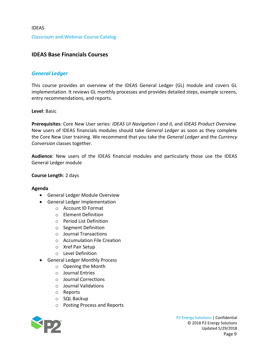# <span id="page-9-0"></span>**IDEAS Base Financials Courses**

# <span id="page-9-1"></span>*General Ledger*

This course provides an overview of the IDEAS General Ledger (GL) module and covers GL implementation. It reviews GL monthly processes and provides detailed steps, example screens, entry recommendations, and reports.

### **Level**: Basic

**Prerequisites**: Core New User series: *IDEAS UI Navigation I and II,* and *IDEAS Product Overview*. New users of IDEAS financials modules should take *General Ledger* as soon as they complete the Core New User training. We recommend that you take the *General Ledger* and the *Currency Conversion* classes together.

**Audience**: New users of the IDEAS financial modules and particularly those use the IDEAS General Ledger module

### **Course Length**: 2 days

- General Ledger Module Overview
- General Ledger Implementation
	- o Account ID Format
	- o Element Definition
	- o Period List Definition
	- o Segment Definition
	- o Journal Transactions
	- o Accumulation File Creation
	- o Xref Pair Setup
	- o Level Definition
- General Ledger Monthly Process
	- o Opening the Month
	- o Journal Entries
	- o Journal Corrections
	- o Journal Validations
	- o Reports
	- o SQL Backup
	- o Posting Process and Reports

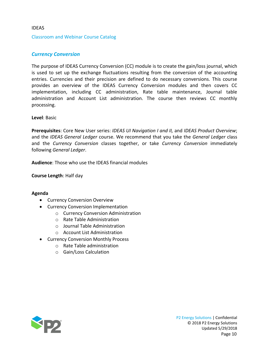# <span id="page-10-0"></span>*Currency Conversion*

The purpose of IDEAS Currency Conversion (CC) module is to create the gain/loss journal, which is used to set up the exchange fluctuations resulting from the conversion of the accounting entries. Currencies and their precision are defined to do necessary conversions. This course provides an overview of the IDEAS Currency Conversion modules and then covers CC implementation, including CC administration, Rate table maintenance, Journal table administration and Account List administration. The course then reviews CC monthly processing.

### **Level**: Basic

**Prerequisites**: Core New User series: *IDEAS UI Navigation I and II,* and *IDEAS Product Overview*; and the *IDEAS General Ledger* course. We recommend that you take the *General Ledger* class and the *Currency Conversion* classes together, or take *Currency Conversion* immediately following *General Ledger*.

**Audience**: Those who use the IDEAS financial modules

**Course Length**: Half day

- Currency Conversion Overview
- Currency Conversion Implementation
	- o Currency Conversion Administration
	- o Rate Table Administration
	- o Journal Table Administration
	- o Account List Administration
- Currency Conversion Monthly Process
	- o Rate Table administration
	- o Gain/Loss Calculation

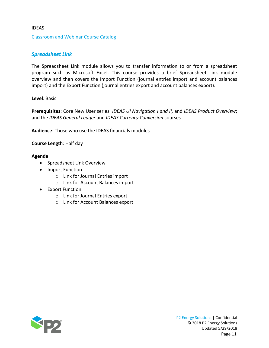#### Classroom and Webinar Course Catalog

### <span id="page-11-0"></span>*Spreadsheet Link*

The Spreadsheet Link module allows you to transfer information to or from a spreadsheet program such as Microsoft Excel. This course provides a brief Spreadsheet Link module overview and then covers the Import Function (journal entries import and account balances import) and the Export Function (journal entries export and account balances export).

#### **Level**: Basic

**Prerequisites**: Core New User series: *IDEAS UI Navigation I and II,* and *IDEAS Product Overview*; and the *IDEAS General Ledger* and *IDEAS Currency Conversion* courses

**Audience**: Those who use the IDEAS financials modules

#### **Course Length**: Half day

- Spreadsheet Link Overview
- Import Function
	- o Link for Journal Entries import
	- o Link for Account Balances import
- Export Function
	- o Link for Journal Entries export
	- o Link for Account Balances export

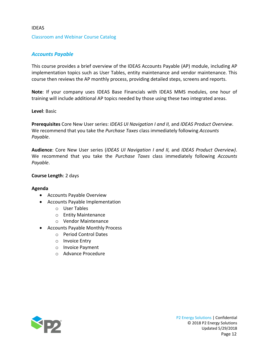# <span id="page-12-0"></span>*Accounts Payable*

This course provides a brief overview of the IDEAS Accounts Payable (AP) module, including AP implementation topics such as User Tables, entity maintenance and vendor maintenance. This course then reviews the AP monthly process, providing detailed steps, screens and reports.

**Note**: If your company uses IDEAS Base Financials with IDEAS MMS modules, one hour of training will include additional AP topics needed by those using these two integrated areas.

### **Level**: Basic

**Prerequisites** Core New User series: *IDEAS UI Navigation I and II,* and *IDEAS Product Overview*. We recommend that you take the *Purchase Taxes* class immediately following *Accounts Payable*.

**Audience**: Core New User series (*IDEAS UI Navigation I and II,* and *IDEAS Product Overview)*. We recommend that you take the *Purchase Taxes* class immediately following *Accounts Payable*.

### **Course Length**: 2 days

- Accounts Payable Overview
- Accounts Payable Implementation
	- o User Tables
	- o Entity Maintenance
	- o Vendor Maintenance
- Accounts Payable Monthly Process
	- o Period Control Dates
	- o Invoice Entry
	- o Invoice Payment
	- o Advance Procedure

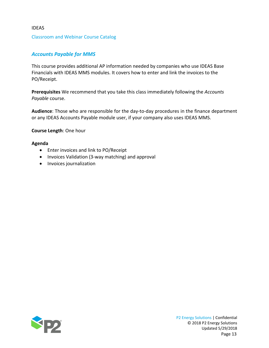# <span id="page-13-0"></span>*Accounts Payable for MMS*

This course provides additional AP information needed by companies who use IDEAS Base Financials with IDEAS MMS modules. It covers how to enter and link the invoices to the PO/Receipt.

**Prerequisites** We recommend that you take this class immediately following the *Accounts Payable* course.

**Audience**: Those who are responsible for the day-to-day procedures in the finance department or any IDEAS Accounts Payable module user, if your company also uses IDEAS MMS.

**Course Length**: One hour

#### **Agenda**

IDEAS

- Enter invoices and link to PO/Receipt
- Invoices Validation (3-way matching) and approval
- Invoices journalization

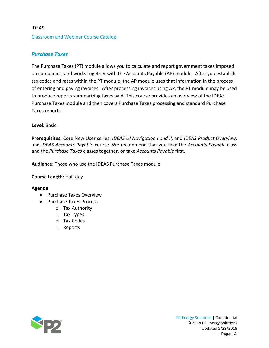# <span id="page-14-0"></span>*Purchase Taxes*

The Purchase Taxes (PT) module allows you to calculate and report government taxes imposed on companies, and works together with the Accounts Payable (AP) module. After you establish tax codes and rates within the PT module, the AP module uses that information in the process of entering and paying invoices. After processing invoices using AP, the PT module may be used to produce reports summarizing taxes paid. This course provides an overview of the IDEAS Purchase Taxes module and then covers Purchase Taxes processing and standard Purchase Taxes reports.

# **Level**: Basic

**Prerequisites**: Core New User series: *IDEAS UI Navigation I and II,* and *IDEAS Product Overview;* and *IDEAS Accounts Payable* course. We recommend that you take the *Accounts Payable* class and the *Purchase Taxes* classes together, or take *Accounts Payable* first.

**Audience**: Those who use the IDEAS Purchase Taxes module

### **Course Length**: Half day

- Purchase Taxes Overview
- Purchase Taxes Process
	- o Tax Authority
	- o Tax Types
	- o Tax Codes
	- o Reports

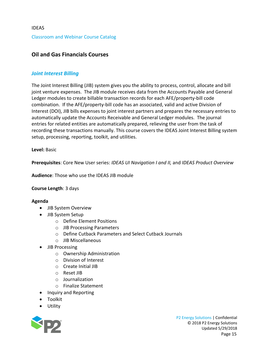# <span id="page-15-0"></span>**Oil and Gas Financials Courses**

# <span id="page-15-1"></span>*Joint Interest Billing*

The Joint Interest Billing (JIB) system gives you the ability to process, control, allocate and bill joint venture expenses. The JIB module receives data from the Accounts Payable and General Ledger modules to create billable transaction records for each AFE/property-bill code combination. If the AFE/property-bill code has an associated, valid and active Division of Interest (DOI), JIB bills expenses to joint interest partners and prepares the necessary entries to automatically update the Accounts Receivable and General Ledger modules. The journal entries for related entities are automatically prepared, relieving the user from the task of recording these transactions manually. This course covers the IDEAS Joint Interest Billing system setup, processing, reporting, toolkit, and utilities.

**Level:** Basic

**Prerequisites**: Core New User series: *IDEAS UI Navigation I and II,* and *IDEAS Product Overview*

**Audience**: Those who use the IDEAS JIB module

### **Course Length**: 3 days

- JIB System Overview
- JIB System Setup
	- o Define Element Positions
	- o JIB Processing Parameters
	- o Define Cutback Parameters and Select Cutback Journals
	- o JIB Miscellaneous
- JIB Processing
	- o Ownership Administration
	- o Division of Interest
	- o Create Initial JIB
	- o Reset JIB
	- o Journalization
	- o Finalize Statement
- Inquiry and Reporting
- Toolkit
- Utility

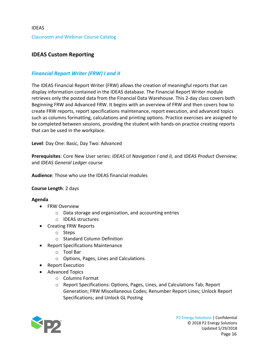# <span id="page-16-0"></span>**IDEAS Custom Reporting**

# <span id="page-16-1"></span>*Financial Report Writer (FRW) I and II*

The IDEAS Financial Report Writer (FRW) allows the creation of meaningful reports that can display information contained in the IDEAS database. The Financial Report Writer module retrieves only the posted data from the Financial Data Warehouse. This 2-day class covers both Beginning FRW and Advanced FRW. It begins with an overview of FRW and then covers how to create FRW reports, report specifications maintenance, report execution, and advanced topics such as columns formatting, calculations and printing options. Practice exercises are assigned to be completed between sessions, providing the student with hands-on practice creating reports that can be used in the workplace.

**Level**: Day One: Basic, Day Two: Advanced

**Prerequisites**: Core New User series: *IDEAS UI Navigation I and II,* and *IDEAS Product Overview;* and *IDEAS General Ledge*r course

**Audience**: Those who use the IDEAS financial modules

**Course Length**: 2 days

- FRW Overview
	- o Data storage and organization, and accounting entries
	- o IDEAS structures
- Creating FRW Reports
	- o Steps
	- o Standard Column Definition
- Report Specifications Maintenance
	- o Tool Bar
	- o Options, Pages, Lines and Calculations
- Report Execution
- Advanced Topics
	- o Columns Format
	- o Report Specifications: Options, Pages, Lines, and Calculations Tab; Report Generation; FRW Miscellaneous Codes; Renumber Report Lines; Unlock Report Specifications; and Unlock GL Posting

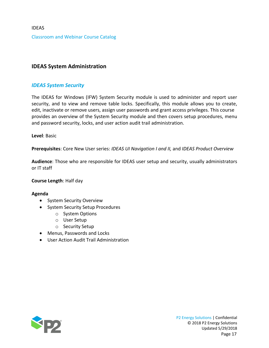# <span id="page-17-0"></span>**IDEAS System Administration**

# <span id="page-17-1"></span>*IDEAS System Security*

The IDEAS for Windows (IFW) System Security module is used to administer and report user security, and to view and remove table locks. Specifically, this module allows you to create, edit, inactivate or remove users, assign user passwords and grant access privileges. This course provides an overview of the System Security module and then covers setup procedures, menu and password security, locks, and user action audit trail administration.

**Level**: Basic

**Prerequisites**: Core New User series: *IDEAS UI Navigation I and II,* and *IDEAS Product Overview*

**Audience**: Those who are responsible for IDEAS user setup and security, usually administrators or IT staff

#### **Course Length**: Half day

- System Security Overview
- System Security Setup Procedures
	- o System Options
	- o User Setup
	- o Security Setup
- Menus, Passwords and Locks
- User Action Audit Trail Administration

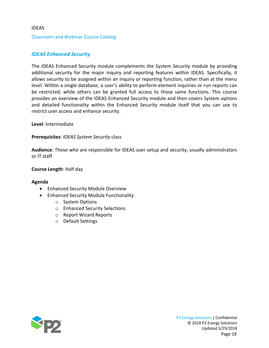# <span id="page-18-0"></span>*IDEAS Enhanced Security*

The IDEAS Enhanced Security module complements the System Security module by providing additional security for the major inquiry and reporting features within IDEAS. Specifically, it allows security to be assigned within an inquiry or reporting function, rather than at the menu level. Within a single database, a user's ability to perform element inquiries or run reports can be restricted, while others can be granted full access to those same functions. This course provides an overview of the IDEAS Enhanced Security module and then covers System options and detailed functionality within the Enhanced Security module itself that you can use to restrict user access and enhance security.

### **Level**: Intermediate

### **Prerequisites**: *IDEAS System Security* class

**Audience**: Those who are responsible for IDEAS user setup and security, usually administrators or IT staff

### **Course Length**: Half day

- Enhanced Security Module Overview
- Enhanced Security Module Functionality
	- o System Options
	- o Enhanced Security Selections
	- o Report Wizard Reports
	- o Default Settings

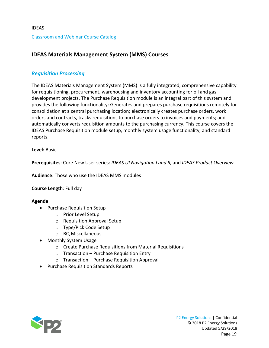# <span id="page-19-0"></span>**IDEAS Materials Management System (MMS) Courses**

# <span id="page-19-1"></span>*Requisition Processing*

The IDEAS Materials Management System (MMS) is a fully integrated, comprehensive capability for requisitioning, procurement, warehousing and inventory accounting for oil and gas development projects. The Purchase Requisition module is an integral part of this system and provides the following functionality: Generates and prepares purchase requisitions remotely for consolidation at a central purchasing location; electronically creates purchase orders, work orders and contracts, tracks requisitions to purchase orders to invoices and payments; and automatically converts requisition amounts to the purchasing currency. This course covers the IDEAS Purchase Requisition module setup, monthly system usage functionality, and standard reports.

**Level:** Basic

**Prerequisites**: Core New User series: *IDEAS UI Navigation I and II,* and *IDEAS Product Overview*

**Audience**: Those who use the IDEAS MMS modules

**Course Length**: Full day

- Purchase Requisition Setup
	- o Prior Level Setup
	- o Requisition Approval Setup
	- o Type/Pick Code Setup
	- o RQ Miscellaneous
- Monthly System Usage
	- o Create Purchase Requisitions from Material Requisitions
	- o Transaction Purchase Requisition Entry
	- o Transaction Purchase Requisition Approval
- Purchase Requisition Standards Reports

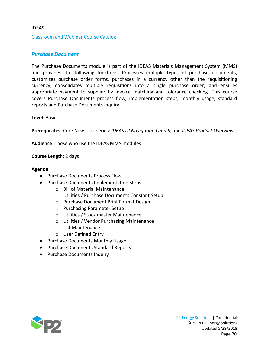#### Classroom and Webinar Course Catalog

### <span id="page-20-0"></span>*Purchase Document*

The Purchase Documents module is part of the IDEAS Materials Management System (MMS) and provides the following functions: Processes multiple types of purchase documents, customizes purchase order forms, purchases in a currency other than the requisitioning currency, consolidates multiple requisitions into a single purchase order, and ensures appropriate payment to supplier by invoice matching and tolerance checking. This course covers Purchase Documents process flow, implementation steps, monthly usage, standard reports and Purchase Documents Inquiry.

**Level**: Basic

**Prerequisites**: Core New User series: *IDEAS UI Navigation I and II,* and *IDEAS Product Overview*

**Audience**: Those who use the IDEAS MMS modules

**Course Length**: 2 days

- Purchase Documents Process Flow
- Purchase Documents Implementation Steps
	- o Bill of Material Maintenance
	- o Utilities / Purchase Documents Constant Setup
	- o Purchase Document Print Format Design
	- o Purchasing Parameter Setup
	- o Utilities / Stock master Maintenance
	- o Utilities / Vendor Purchasing Maintenance
	- o List Maintenance
	- o User Defined Entry
- Purchase Documents Monthly Usage
- Purchase Documents Standard Reports
- Purchase Documents Inquiry

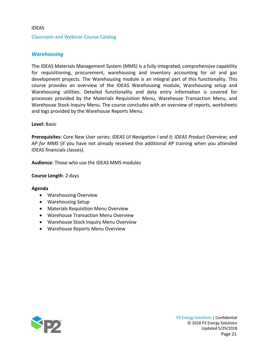#### Classroom and Webinar Course Catalog

### <span id="page-21-0"></span>*Warehousing*

The IDEAS Materials Management System (MMS) is a fully integrated, comprehensive capability for requisitioning, procurement, warehousing and inventory accounting for oil and gas development projects. The Warehousing module is an integral part of this functionality. This course provides an overview of the IDEAS Warehousing module, Warehousing setup and Warehousing utilities. Detailed functionality and data entry information is covered for processes provided by the Materials Requisition Menu, Warehouse Transaction Menu, and Warehouse Stock Inquiry Menu. The course concludes with an overview of reports, worksheets and logs provided by the Warehouse Reports Menu.

#### **Level:** Basic

**Prerequisites**: Core New User series: *IDEAS UI Navigation I and II; IDEAS Product Overview;* and *AP for MMS* (if you have not already received this additional AP training when you attended IDEAS financials classes).

**Audience**: Those who use the IDEAS MMS modules

#### **Course Length**: 2 days

- Warehousing Overview
- Warehousing Setup
- Materials Requisition Menu Overview
- Warehouse Transaction Menu Overview
- Warehouse Stock Inquiry Menu Overview
- Warehouse Reports Menu Overview

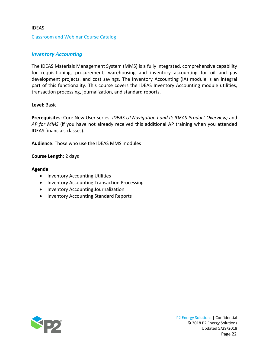# <span id="page-22-0"></span>*Inventory Accounting*

The IDEAS Materials Management System (MMS) is a fully integrated, comprehensive capability for requisitioning, procurement, warehousing and inventory accounting for oil and gas development projects. and cost savings. The Inventory Accounting (IA) module is an integral part of this functionality. This course covers the IDEAS Inventory Accounting module utilities, transaction processing, journalization, and standard reports.

### **Level**: Basic

**Prerequisites**: Core New User series: *IDEAS UI Navigation I and II; IDEAS Product Overview;* and *AP for MMS* (if you have not already received this additional AP training when you attended IDEAS financials classes).

**Audience**: Those who use the IDEAS MMS modules

### **Course Length**: 2 days

- Inventory Accounting Utilities
- Inventory Accounting Transaction Processing
- Inventory Accounting Journalization
- Inventory Accounting Standard Reports

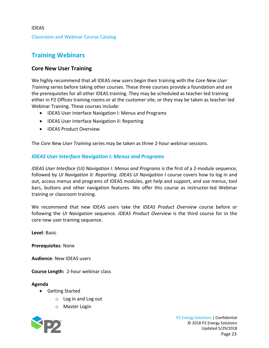# <span id="page-23-0"></span>**Training Webinars**

# <span id="page-23-1"></span>**Core New User Training**

We highly recommend that all IDEAS new users begin their training with the *Core New User Training* series before taking other courses. These three courses provide a foundation and are the prerequisites for all other IDEAS training. They may be scheduled as teacher-led training either in P2 Offices training rooms or at the customer site, or they may be taken as teacher-led Webinar Training. These courses include:

- IDEAS User Interface Navigation I: Menus and Programs
- IDEAS User Interface Navigation II: Reporting
- IDEAS Product Overview

The *Core New User Training* series may be taken as three 2-hour webinar sessions.

# <span id="page-23-2"></span>*IDEAS User Interface Navigation I: Menus and Programs*

*IDEAS User Interface (UI) Navigation I: Menus and Programs* is the first of a 2-module sequence, followed by *UI Navigation II: Reporting*. *IDEAS UI Navigation I* course covers how to log in and out, access menus and programs of IDEAS modules, get help and support, and use menus, tool bars, buttons and other navigation features. We offer this course as instructor-led Webinar training or classroom training.

We recommend that new IDEAS users take the *IDEAS Product Overview* course before or following the *UI Navigation* sequence. *IDEAS Product Overview* is the third course for in the core new user training sequence.

**Level**: Basic

**Prerequisites**: None

**Audience**: New IDEAS users

**Course Length:** 2-hour webinar class

### **Agenda**

- Getting Started
	- o Log in and Log out
	- o Master Login



IDEAS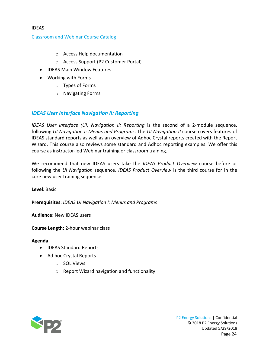IDEAS

- o Access Help documentation
- o Access Support (P2 Customer Portal)
- IDEAS Main Window Features
- Working with Forms
	- o Types of Forms
	- o Navigating Forms

# <span id="page-24-0"></span>*IDEAS User Interface Navigation II: Reporting*

*IDEAS User Interface (UI) Navigation II: Reporting* is the second of a 2-module sequence, following *UI Navigation I: Menus and Programs*. The *UI Navigation II* course covers features of IDEAS standard reports as well as an overview of Adhoc Crystal reports created with the Report Wizard. This course also reviews some standard and Adhoc reporting examples. We offer this course as instructor-led Webinar training or classroom training.

We recommend that new IDEAS users take the *IDEAS Product Overview* course before or following the *UI Navigation* sequence. *IDEAS Product Overview* is the third course for in the core new user training sequence.

**Level**: Basic

**Prerequisites**: *IDEAS UI Navigation I: Menus and Programs*

**Audience**: New IDEAS users

**Course Length:** 2-hour webinar class

- IDEAS Standard Reports
- Ad hoc Crystal Reports
	- o SQL Views
	- o Report Wizard navigation and functionality

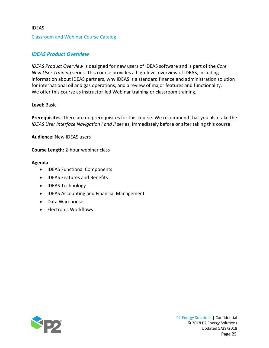# <span id="page-25-0"></span>*IDEAS Product Overview*

*IDEAS Product Overview* is designed for new users of IDEAS software and is part of the *Core New User Training* series. This course provides a high-level overview of IDEAS, including information about IDEAS partners, why IDEAS is a standard finance and administration solution for international oil and gas operations, and a review of major features and functionality. We offer this course as instructor-led Webinar training or classroom training.

# **Level**: Basic

**Prerequisites**: There are no prerequisites for this course. We recommend that you also take the *IDEAS User Interface Navigation I and II* series, immediately before or after taking this course.

**Audience**: New IDEAS users

**Course Length:** 2-hour webinar class

- IDEAS Functional Components
- IDEAS Features and Benefits
- IDEAS Technology
- IDEAS Accounting and Financial Management
- Data Warehouse
- Electronic Workflows

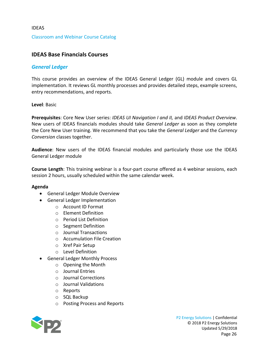# <span id="page-26-0"></span>**IDEAS Base Financials Courses**

# <span id="page-26-1"></span>*General Ledger*

This course provides an overview of the IDEAS General Ledger (GL) module and covers GL implementation. It reviews GL monthly processes and provides detailed steps, example screens, entry recommendations, and reports.

### **Level**: Basic

**Prerequisites**: Core New User series: *IDEAS UI Navigation I and II,* and *IDEAS Product Overview*. New users of IDEAS financials modules should take *General Ledger* as soon as they complete the Core New User training. We recommend that you take the *General Ledger* and the *Currency Conversion* classes together.

**Audience**: New users of the IDEAS financial modules and particularly those use the IDEAS General Ledger module

**Course Length**: This training webinar is a four-part course offered as 4 webinar sessions, each session 2 hours, usually scheduled within the same calendar week.

- General Ledger Module Overview
- General Ledger Implementation
	- o Account ID Format
	- o Element Definition
	- o Period List Definition
	- o Segment Definition
	- o Journal Transactions
	- o Accumulation File Creation
	- o Xref Pair Setup
	- o Level Definition
- General Ledger Monthly Process
	- o Opening the Month
	- o Journal Entries
	- o Journal Corrections
	- o Journal Validations
	- o Reports
	- o SQL Backup
	- o Posting Process and Reports

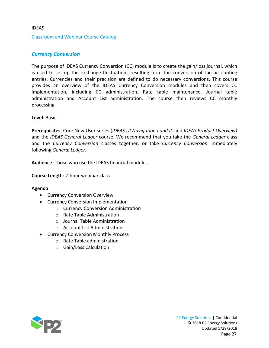# <span id="page-27-0"></span>*Currency Conversion*

The purpose of IDEAS Currency Conversion (CC) module is to create the gain/loss journal, which is used to set up the exchange fluctuations resulting from the conversion of the accounting entries. Currencies and their precision are defined to do necessary conversions. This course provides an overview of the IDEAS Currency Conversion modules and then covers CC implementation, including CC administration, Rate table maintenance, Journal table administration and Account List administration. The course then reviews CC monthly processing.

### **Level**: Basic

**Prerequisites**: Core New User series (*IDEAS UI Navigation I and II,* and *IDEAS Product Overview)* and the *IDEAS General Ledger* course. We recommend that you take the *General Ledger* class and the *Currency Conversion* classes together, or take *Currency Conversion* immediately following *General Ledger*.

**Audience**: Those who use the IDEAS financial modules

**Course Length**: 2-hour webinar class

- Currency Conversion Overview
- Currency Conversion Implementation
	- o Currency Conversion Administration
	- o Rate Table Administration
	- o Journal Table Administration
	- o Account List Administration
- Currency Conversion Monthly Process
	- o Rate Table administration
	- o Gain/Loss Calculation

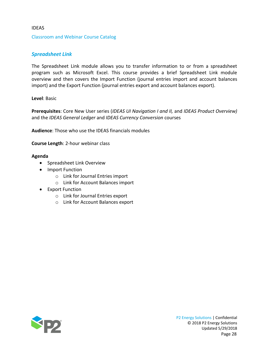#### Classroom and Webinar Course Catalog

### <span id="page-28-0"></span>*Spreadsheet Link*

The Spreadsheet Link module allows you to transfer information to or from a spreadsheet program such as Microsoft Excel. This course provides a brief Spreadsheet Link module overview and then covers the Import Function (journal entries import and account balances import) and the Export Function (journal entries export and account balances export).

#### **Level**: Basic

**Prerequisites**: Core New User series (*IDEAS UI Navigation I and II,* and *IDEAS Product Overview)* and the *IDEAS General Ledger* and *IDEAS Currency Conversion* courses

**Audience**: Those who use the IDEAS financials modules

**Course Length**: 2-hour webinar class

- Spreadsheet Link Overview
- Import Function
	- o Link for Journal Entries import
	- o Link for Account Balances import
- Export Function
	- o Link for Journal Entries export
	- o Link for Account Balances export

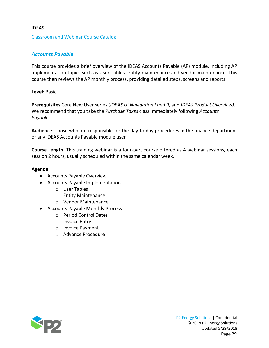# <span id="page-29-0"></span>*Accounts Payable*

This course provides a brief overview of the IDEAS Accounts Payable (AP) module, including AP implementation topics such as User Tables, entity maintenance and vendor maintenance. This course then reviews the AP monthly process, providing detailed steps, screens and reports.

### **Level**: Basic

**Prerequisites** Core New User series (*IDEAS UI Navigation I and II,* and *IDEAS Product Overview)*. We recommend that you take the *Purchase Taxes* class immediately following *Accounts Payable*.

**Audience**: Those who are responsible for the day-to-day procedures in the finance department or any IDEAS Accounts Payable module user

**Course Length**: This training webinar is a four-part course offered as 4 webinar sessions, each session 2 hours, usually scheduled within the same calendar week.

- Accounts Payable Overview
- Accounts Payable Implementation
	- o User Tables
	- o Entity Maintenance
	- o Vendor Maintenance
- Accounts Payable Monthly Process
	- o Period Control Dates
	- o Invoice Entry
	- o Invoice Payment
	- o Advance Procedure

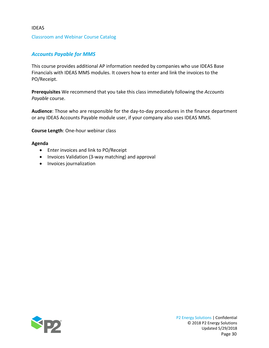# <span id="page-30-0"></span>*Accounts Payable for MMS*

This course provides additional AP information needed by companies who use IDEAS Base Financials with IDEAS MMS modules. It covers how to enter and link the invoices to the PO/Receipt.

**Prerequisites** We recommend that you take this class immediately following the *Accounts Payable* course.

**Audience**: Those who are responsible for the day-to-day procedures in the finance department or any IDEAS Accounts Payable module user, if your company also uses IDEAS MMS.

**Course Length**: One-hour webinar class

#### **Agenda**

IDEAS

- Enter invoices and link to PO/Receipt
- Invoices Validation (3-way matching) and approval
- Invoices journalization

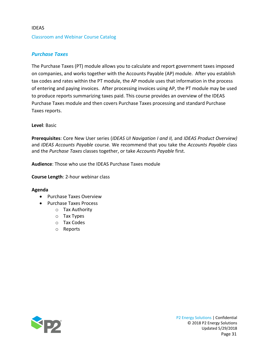# <span id="page-31-0"></span>*Purchase Taxes*

The Purchase Taxes (PT) module allows you to calculate and report government taxes imposed on companies, and works together with the Accounts Payable (AP) module. After you establish tax codes and rates within the PT module, the AP module uses that information in the process of entering and paying invoices. After processing invoices using AP, the PT module may be used to produce reports summarizing taxes paid. This course provides an overview of the IDEAS Purchase Taxes module and then covers Purchase Taxes processing and standard Purchase Taxes reports.

# **Level**: Basic

**Prerequisites**: Core New User series (*IDEAS UI Navigation I and II,* and *IDEAS Product Overview)* and *IDEAS Accounts Payable* course. We recommend that you take the *Accounts Payable* class and the *Purchase Taxes* classes together, or take *Accounts Payable* first.

**Audience**: Those who use the IDEAS Purchase Taxes module

**Course Length**: 2-hour webinar class

- Purchase Taxes Overview
- Purchase Taxes Process
	- o Tax Authority
	- o Tax Types
	- o Tax Codes
	- o Reports

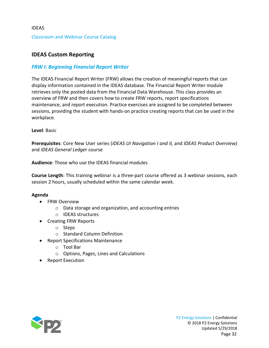# <span id="page-32-0"></span>**IDEAS Custom Reporting**

# <span id="page-32-1"></span>*FRW I: Beginning Financial Report Writer*

The IDEAS Financial Report Writer (FRW) allows the creation of meaningful reports that can display information contained in the IDEAS database. The Financial Report Writer module retrieves only the posted data from the Financial Data Warehouse. This class provides an overview of FRW and then covers how to create FRW reports, report specifications maintenance, and report execution. Practice exercises are assigned to be completed between sessions, providing the student with hands-on practice creating reports that can be used in the workplace.

**Level**: Basic

**Prerequisites**: Core New User series (*IDEAS UI Navigation I and II,* and *IDEAS Product Overview)* and *IDEAS General Ledge*r course

**Audience**: Those who use the IDEAS financial modules

**Course Length**: This training webinar is a three-part course offered as 3 webinar sessions, each session 2 hours, usually scheduled within the same calendar week.

- FRW Overview
	- o Data storage and organization, and accounting entries
	- o IDEAS structures
- Creating FRW Reports
	- o Steps
	- o Standard Column Definition
- Report Specifications Maintenance
	- o Tool Bar
	- o Options, Pages, Lines and Calculations
- Report Execution

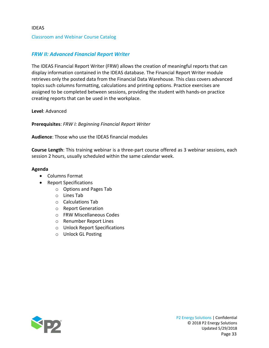# <span id="page-33-0"></span>*FRW II: Advanced Financial Report Writer*

The IDEAS Financial Report Writer (FRW) allows the creation of meaningful reports that can display information contained in the IDEAS database. The Financial Report Writer module retrieves only the posted data from the Financial Data Warehouse. This class covers advanced topics such columns formatting, calculations and printing options. Practice exercises are assigned to be completed between sessions, providing the student with hands-on practice creating reports that can be used in the workplace.

**Level**: Advanced

**Prerequisites**: *FRW I: Beginning Financial Report Writer*

**Audience**: Those who use the IDEAS financial modules

**Course Length**: This training webinar is a three-part course offered as 3 webinar sessions, each session 2 hours, usually scheduled within the same calendar week.

- Columns Format
- Report Specifications
	- o Options and Pages Tab
	- o Lines Tab
	- o Calculations Tab
	- o Report Generation
	- o FRW Miscellaneous Codes
	- o Renumber Report Lines
	- o Unlock Report Specifications
	- o Unlock GL Posting

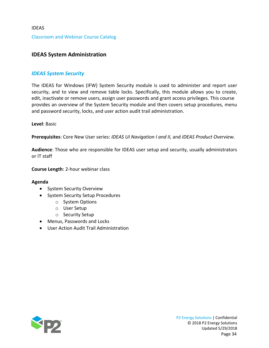# <span id="page-34-0"></span>**IDEAS System Administration**

# <span id="page-34-1"></span>*IDEAS System Security*

The IDEAS for Windows (IFW) System Security module is used to administer and report user security, and to view and remove table locks. Specifically, this module allows you to create, edit, inactivate or remove users, assign user passwords and grant access privileges. This course provides an overview of the System Security module and then covers setup procedures, menu and password security, locks, and user action audit trail administration.

### **Level**: Basic

**Prerequisites**: Core New User series: *IDEAS UI Navigation I and II,* and *IDEAS Product Overview*.

**Audience**: Those who are responsible for IDEAS user setup and security, usually administrators or IT staff

**Course Length**: 2-hour webinar class

- System Security Overview
- System Security Setup Procedures
	- o System Options
	- o User Setup
	- o Security Setup
- Menus, Passwords and Locks
- User Action Audit Trail Administration

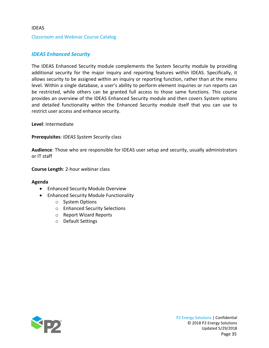# <span id="page-35-0"></span>*IDEAS Enhanced Security*

The IDEAS Enhanced Security module complements the System Security module by providing additional security for the major inquiry and reporting features within IDEAS. Specifically, it allows security to be assigned within an inquiry or reporting function, rather than at the menu level. Within a single database, a user's ability to perform element inquiries or run reports can be restricted, while others can be granted full access to those same functions. This course provides an overview of the IDEAS Enhanced Security module and then covers System options and detailed functionality within the Enhanced Security module itself that you can use to restrict user access and enhance security.

**Level**: Intermediate

### **Prerequisites**: *IDEAS System Security* class

**Audience**: Those who are responsible for IDEAS user setup and security, usually administrators or IT staff

**Course Length**: 2-hour webinar class

- Enhanced Security Module Overview
- Enhanced Security Module Functionality
	- o System Options
	- o Enhanced Security Selections
	- o Report Wizard Reports
	- o Default Settings

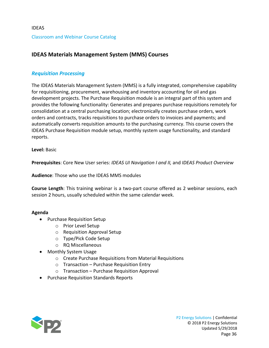# <span id="page-36-0"></span>**IDEAS Materials Management System (MMS) Courses**

# <span id="page-36-1"></span>*Requisition Processing*

The IDEAS Materials Management System (MMS) is a fully integrated, comprehensive capability for requisitioning, procurement, warehousing and inventory accounting for oil and gas development projects. The Purchase Requisition module is an integral part of this system and provides the following functionality: Generates and prepares purchase requisitions remotely for consolidation at a central purchasing location; electronically creates purchase orders, work orders and contracts, tracks requisitions to purchase orders to invoices and payments; and automatically converts requisition amounts to the purchasing currency. This course covers the IDEAS Purchase Requisition module setup, monthly system usage functionality, and standard reports.

**Level:** Basic

**Prerequisites**: Core New User series: *IDEAS UI Navigation I and II,* and *IDEAS Product Overview*

**Audience**: Those who use the IDEAS MMS modules

**Course Length**: This training webinar is a two-part course offered as 2 webinar sessions, each session 2 hours, usually scheduled within the same calendar week.

- Purchase Requisition Setup
	- o Prior Level Setup
	- o Requisition Approval Setup
	- o Type/Pick Code Setup
	- o RQ Miscellaneous
- Monthly System Usage
	- o Create Purchase Requisitions from Material Requisitions
	- $\circ$  Transaction Purchase Requisition Entry
	- o Transaction Purchase Requisition Approval
- Purchase Requisition Standards Reports

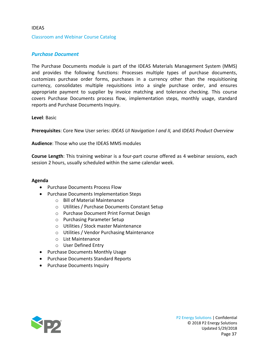#### Classroom and Webinar Course Catalog

### <span id="page-37-0"></span>*Purchase Document*

The Purchase Documents module is part of the IDEAS Materials Management System (MMS) and provides the following functions: Processes multiple types of purchase documents, customizes purchase order forms, purchases in a currency other than the requisitioning currency, consolidates multiple requisitions into a single purchase order, and ensures appropriate payment to supplier by invoice matching and tolerance checking. This course covers Purchase Documents process flow, implementation steps, monthly usage, standard reports and Purchase Documents Inquiry.

#### **Level**: Basic

**Prerequisites**: Core New User series: *IDEAS UI Navigation I and II,* and *IDEAS Product Overview*

**Audience**: Those who use the IDEAS MMS modules

**Course Length**: This training webinar is a four-part course offered as 4 webinar sessions, each session 2 hours, usually scheduled within the same calendar week.

- Purchase Documents Process Flow
- Purchase Documents Implementation Steps
	- o Bill of Material Maintenance
	- o Utilities / Purchase Documents Constant Setup
	- o Purchase Document Print Format Design
	- o Purchasing Parameter Setup
	- o Utilities / Stock master Maintenance
	- o Utilities / Vendor Purchasing Maintenance
	- o List Maintenance
	- o User Defined Entry
- Purchase Documents Monthly Usage
- Purchase Documents Standard Reports
- Purchase Documents Inquiry

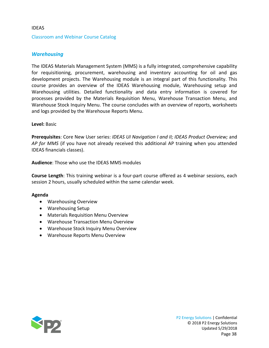#### Classroom and Webinar Course Catalog

### <span id="page-38-0"></span>*Warehousing*

The IDEAS Materials Management System (MMS) is a fully integrated, comprehensive capability for requisitioning, procurement, warehousing and inventory accounting for oil and gas development projects. The Warehousing module is an integral part of this functionality. This course provides an overview of the IDEAS Warehousing module, Warehousing setup and Warehousing utilities. Detailed functionality and data entry information is covered for processes provided by the Materials Requisition Menu, Warehouse Transaction Menu, and Warehouse Stock Inquiry Menu. The course concludes with an overview of reports, worksheets and logs provided by the Warehouse Reports Menu.

#### **Level:** Basic

**Prerequisites**: Core New User series: *IDEAS UI Navigation I and II; IDEAS Product Overview;* and *AP for MMS* (if you have not already received this additional AP training when you attended IDEAS financials classes).

**Audience**: Those who use the IDEAS MMS modules

**Course Length**: This training webinar is a four-part course offered as 4 webinar sessions, each session 2 hours, usually scheduled within the same calendar week.

- Warehousing Overview
- Warehousing Setup
- Materials Requisition Menu Overview
- Warehouse Transaction Menu Overview
- Warehouse Stock Inquiry Menu Overview
- Warehouse Reports Menu Overview